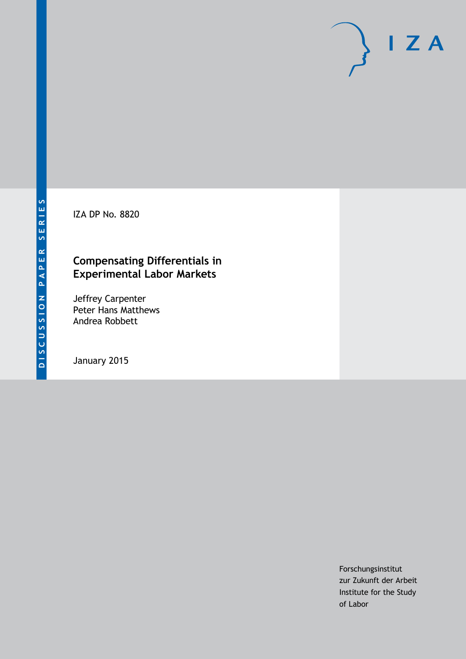IZA DP No. 8820

## **Compensating Differentials in Experimental Labor Markets**

Jeffrey Carpenter Peter Hans Matthews Andrea Robbett

January 2015

Forschungsinstitut zur Zukunft der Arbeit Institute for the Study of Labor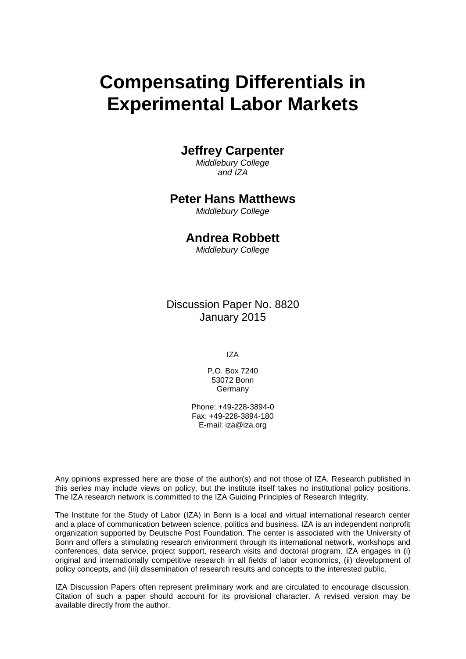# **Compensating Differentials in Experimental Labor Markets**

### **Jeffrey Carpenter**

*Middlebury College and IZA*

### **Peter Hans Matthews**

*Middlebury College*

### **Andrea Robbett**

*Middlebury College*

Discussion Paper No. 8820 January 2015

IZA

P.O. Box 7240 53072 Bonn Germany

Phone: +49-228-3894-0 Fax: +49-228-3894-180 E-mail: [iza@iza.org](mailto:iza@iza.org)

Any opinions expressed here are those of the author(s) and not those of IZA. Research published in this series may include views on policy, but the institute itself takes no institutional policy positions. The IZA research network is committed to the IZA Guiding Principles of Research Integrity.

The Institute for the Study of Labor (IZA) in Bonn is a local and virtual international research center and a place of communication between science, politics and business. IZA is an independent nonprofit organization supported by Deutsche Post Foundation. The center is associated with the University of Bonn and offers a stimulating research environment through its international network, workshops and conferences, data service, project support, research visits and doctoral program. IZA engages in (i) original and internationally competitive research in all fields of labor economics, (ii) development of policy concepts, and (iii) dissemination of research results and concepts to the interested public.

IZA Discussion Papers often represent preliminary work and are circulated to encourage discussion. Citation of such a paper should account for its provisional character. A revised version may be available directly from the author.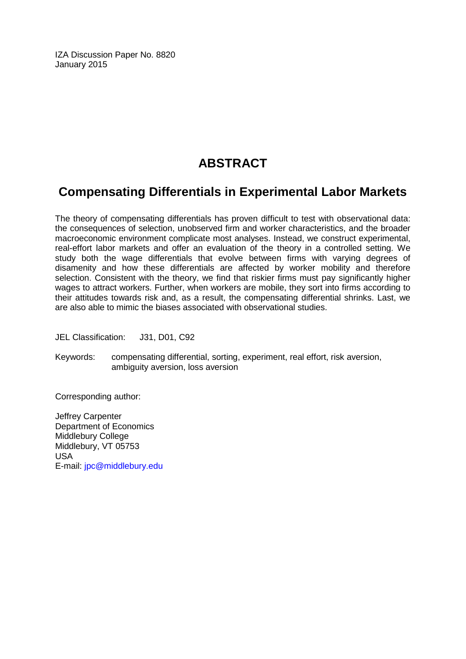IZA Discussion Paper No. 8820 January 2015

# **ABSTRACT**

# **Compensating Differentials in Experimental Labor Markets**

The theory of compensating differentials has proven difficult to test with observational data: the consequences of selection, unobserved firm and worker characteristics, and the broader macroeconomic environment complicate most analyses. Instead, we construct experimental, real-effort labor markets and offer an evaluation of the theory in a controlled setting. We study both the wage differentials that evolve between firms with varying degrees of disamenity and how these differentials are affected by worker mobility and therefore selection. Consistent with the theory, we find that riskier firms must pay significantly higher wages to attract workers. Further, when workers are mobile, they sort into firms according to their attitudes towards risk and, as a result, the compensating differential shrinks. Last, we are also able to mimic the biases associated with observational studies.

JEL Classification: J31, D01, C92

Keywords: compensating differential, sorting, experiment, real effort, risk aversion, ambiguity aversion, loss aversion

Corresponding author:

Jeffrey Carpenter Department of Economics Middlebury College Middlebury, VT 05753 USA E-mail: [jpc@middlebury.edu](mailto:jpc@middlebury.edu)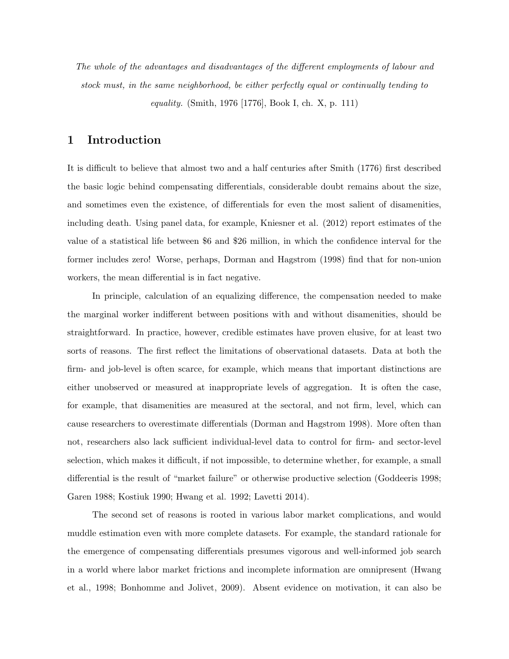The whole of the advantages and disadvantages of the different employments of labour and stock must, in the same neighborhood, be either perfectly equal or continually tending to

equality. (Smith, 1976 [1776], Book I, ch. X, p. 111)

#### 1 Introduction

It is difficult to believe that almost two and a half centuries after Smith (1776) first described the basic logic behind compensating differentials, considerable doubt remains about the size, and sometimes even the existence, of differentials for even the most salient of disamenities, including death. Using panel data, for example, Kniesner et al. (2012) report estimates of the value of a statistical life between \$6 and \$26 million, in which the confidence interval for the former includes zero! Worse, perhaps, Dorman and Hagstrom (1998) find that for non-union workers, the mean differential is in fact negative.

In principle, calculation of an equalizing difference, the compensation needed to make the marginal worker indifferent between positions with and without disamenities, should be straightforward. In practice, however, credible estimates have proven elusive, for at least two sorts of reasons. The first reflect the limitations of observational datasets. Data at both the firm- and job-level is often scarce, for example, which means that important distinctions are either unobserved or measured at inappropriate levels of aggregation. It is often the case, for example, that disamenities are measured at the sectoral, and not firm, level, which can cause researchers to overestimate differentials (Dorman and Hagstrom 1998). More often than not, researchers also lack sufficient individual-level data to control for firm- and sector-level selection, which makes it difficult, if not impossible, to determine whether, for example, a small differential is the result of "market failure" or otherwise productive selection (Goddeeris 1998; Garen 1988; Kostiuk 1990; Hwang et al. 1992; Lavetti 2014).

The second set of reasons is rooted in various labor market complications, and would muddle estimation even with more complete datasets. For example, the standard rationale for the emergence of compensating differentials presumes vigorous and well-informed job search in a world where labor market frictions and incomplete information are omnipresent (Hwang et al., 1998; Bonhomme and Jolivet, 2009). Absent evidence on motivation, it can also be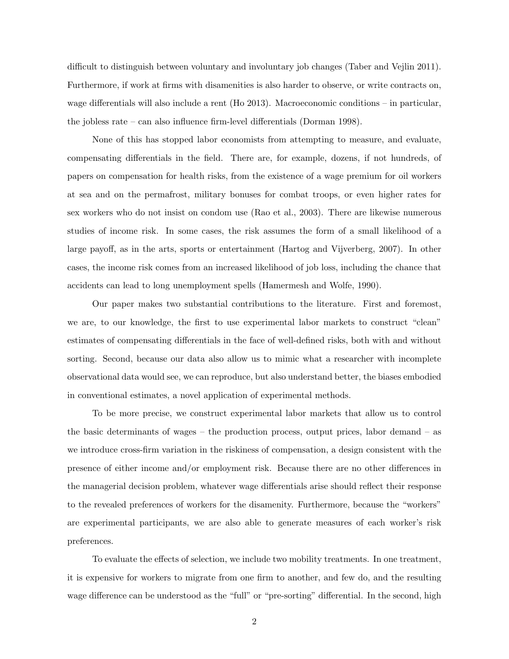difficult to distinguish between voluntary and involuntary job changes (Taber and Vejlin 2011). Furthermore, if work at firms with disamenities is also harder to observe, or write contracts on, wage differentials will also include a rent (Ho 2013). Macroeconomic conditions – in particular, the jobless rate – can also influence firm-level differentials (Dorman 1998).

None of this has stopped labor economists from attempting to measure, and evaluate, compensating differentials in the field. There are, for example, dozens, if not hundreds, of papers on compensation for health risks, from the existence of a wage premium for oil workers at sea and on the permafrost, military bonuses for combat troops, or even higher rates for sex workers who do not insist on condom use (Rao et al., 2003). There are likewise numerous studies of income risk. In some cases, the risk assumes the form of a small likelihood of a large payoff, as in the arts, sports or entertainment (Hartog and Vijverberg, 2007). In other cases, the income risk comes from an increased likelihood of job loss, including the chance that accidents can lead to long unemployment spells (Hamermesh and Wolfe, 1990).

Our paper makes two substantial contributions to the literature. First and foremost, we are, to our knowledge, the first to use experimental labor markets to construct "clean" estimates of compensating differentials in the face of well-defined risks, both with and without sorting. Second, because our data also allow us to mimic what a researcher with incomplete observational data would see, we can reproduce, but also understand better, the biases embodied in conventional estimates, a novel application of experimental methods.

To be more precise, we construct experimental labor markets that allow us to control the basic determinants of wages – the production process, output prices, labor demand – as we introduce cross-firm variation in the riskiness of compensation, a design consistent with the presence of either income and/or employment risk. Because there are no other differences in the managerial decision problem, whatever wage differentials arise should reflect their response to the revealed preferences of workers for the disamenity. Furthermore, because the "workers" are experimental participants, we are also able to generate measures of each worker's risk preferences.

To evaluate the effects of selection, we include two mobility treatments. In one treatment, it is expensive for workers to migrate from one firm to another, and few do, and the resulting wage difference can be understood as the "full" or "pre-sorting" differential. In the second, high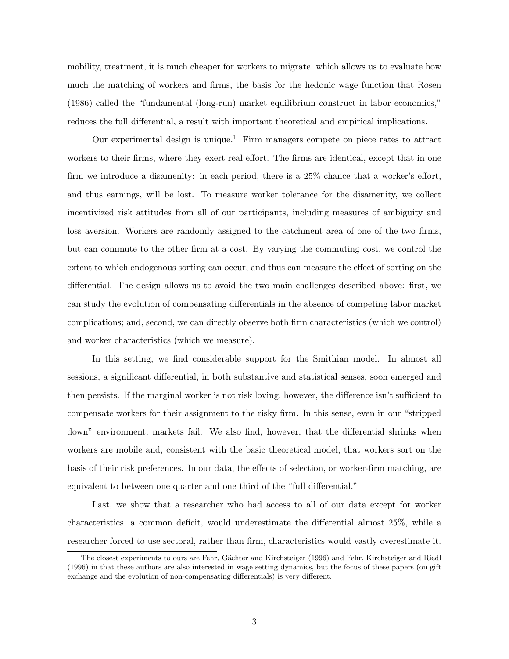mobility, treatment, it is much cheaper for workers to migrate, which allows us to evaluate how much the matching of workers and firms, the basis for the hedonic wage function that Rosen (1986) called the "fundamental (long-run) market equilibrium construct in labor economics," reduces the full differential, a result with important theoretical and empirical implications.

Our experimental design is unique.<sup>1</sup> Firm managers compete on piece rates to attract workers to their firms, where they exert real effort. The firms are identical, except that in one firm we introduce a disamenity: in each period, there is a 25% chance that a worker's effort, and thus earnings, will be lost. To measure worker tolerance for the disamenity, we collect incentivized risk attitudes from all of our participants, including measures of ambiguity and loss aversion. Workers are randomly assigned to the catchment area of one of the two firms, but can commute to the other firm at a cost. By varying the commuting cost, we control the extent to which endogenous sorting can occur, and thus can measure the effect of sorting on the differential. The design allows us to avoid the two main challenges described above: first, we can study the evolution of compensating differentials in the absence of competing labor market complications; and, second, we can directly observe both firm characteristics (which we control) and worker characteristics (which we measure).

In this setting, we find considerable support for the Smithian model. In almost all sessions, a significant differential, in both substantive and statistical senses, soon emerged and then persists. If the marginal worker is not risk loving, however, the difference isn't sufficient to compensate workers for their assignment to the risky firm. In this sense, even in our "stripped down" environment, markets fail. We also find, however, that the differential shrinks when workers are mobile and, consistent with the basic theoretical model, that workers sort on the basis of their risk preferences. In our data, the effects of selection, or worker-firm matching, are equivalent to between one quarter and one third of the "full differential."

Last, we show that a researcher who had access to all of our data except for worker characteristics, a common deficit, would underestimate the differential almost 25%, while a researcher forced to use sectoral, rather than firm, characteristics would vastly overestimate it.

 $1$ The closest experiments to ours are Fehr, Gächter and Kirchsteiger (1996) and Fehr, Kirchsteiger and Riedl (1996) in that these authors are also interested in wage setting dynamics, but the focus of these papers (on gift exchange and the evolution of non-compensating differentials) is very different.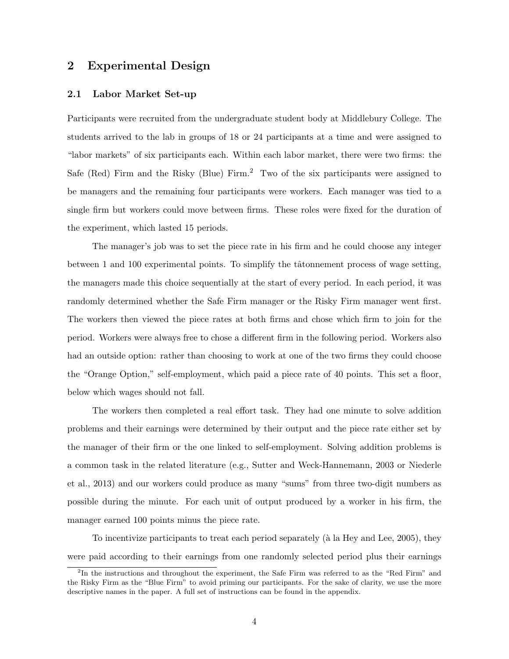#### 2 Experimental Design

#### 2.1 Labor Market Set-up

Participants were recruited from the undergraduate student body at Middlebury College. The students arrived to the lab in groups of 18 or 24 participants at a time and were assigned to "labor markets" of six participants each. Within each labor market, there were two firms: the Safe (Red) Firm and the Risky (Blue) Firm.<sup>2</sup> Two of the six participants were assigned to be managers and the remaining four participants were workers. Each manager was tied to a single firm but workers could move between firms. These roles were fixed for the duration of the experiment, which lasted 15 periods.

The manager's job was to set the piece rate in his firm and he could choose any integer between 1 and 100 experimental points. To simplify the tâtonnement process of wage setting, the managers made this choice sequentially at the start of every period. In each period, it was randomly determined whether the Safe Firm manager or the Risky Firm manager went first. The workers then viewed the piece rates at both firms and chose which firm to join for the period. Workers were always free to chose a different firm in the following period. Workers also had an outside option: rather than choosing to work at one of the two firms they could choose the "Orange Option," self-employment, which paid a piece rate of 40 points. This set a floor, below which wages should not fall.

The workers then completed a real effort task. They had one minute to solve addition problems and their earnings were determined by their output and the piece rate either set by the manager of their firm or the one linked to self-employment. Solving addition problems is a common task in the related literature (e.g., Sutter and Weck-Hannemann, 2003 or Niederle et al., 2013) and our workers could produce as many "sums" from three two-digit numbers as possible during the minute. For each unit of output produced by a worker in his firm, the manager earned 100 points minus the piece rate.

To incentivize participants to treat each period separately (à la Hey and Lee, 2005), they were paid according to their earnings from one randomly selected period plus their earnings

<sup>&</sup>lt;sup>2</sup>In the instructions and throughout the experiment, the Safe Firm was referred to as the "Red Firm" and the Risky Firm as the "Blue Firm" to avoid priming our participants. For the sake of clarity, we use the more descriptive names in the paper. A full set of instructions can be found in the appendix.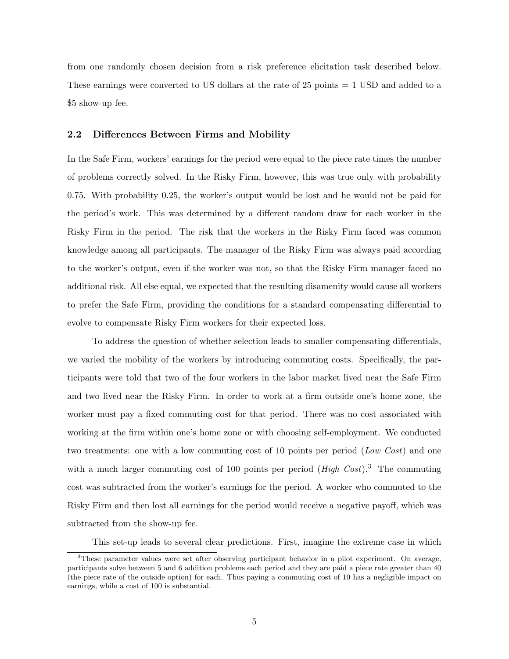from one randomly chosen decision from a risk preference elicitation task described below. These earnings were converted to US dollars at the rate of 25 points = 1 USD and added to a \$5 show-up fee.

#### 2.2 Differences Between Firms and Mobility

In the Safe Firm, workers' earnings for the period were equal to the piece rate times the number of problems correctly solved. In the Risky Firm, however, this was true only with probability 0.75. With probability 0.25, the worker's output would be lost and he would not be paid for the period's work. This was determined by a different random draw for each worker in the Risky Firm in the period. The risk that the workers in the Risky Firm faced was common knowledge among all participants. The manager of the Risky Firm was always paid according to the worker's output, even if the worker was not, so that the Risky Firm manager faced no additional risk. All else equal, we expected that the resulting disamenity would cause all workers to prefer the Safe Firm, providing the conditions for a standard compensating differential to evolve to compensate Risky Firm workers for their expected loss.

To address the question of whether selection leads to smaller compensating differentials, we varied the mobility of the workers by introducing commuting costs. Specifically, the participants were told that two of the four workers in the labor market lived near the Safe Firm and two lived near the Risky Firm. In order to work at a firm outside one's home zone, the worker must pay a fixed commuting cost for that period. There was no cost associated with working at the firm within one's home zone or with choosing self-employment. We conducted two treatments: one with a low commuting cost of 10 points per period (Low Cost) and one with a much larger commuting cost of 100 points per period  $(High Cost).$ <sup>3</sup> The commuting cost was subtracted from the worker's earnings for the period. A worker who commuted to the Risky Firm and then lost all earnings for the period would receive a negative payoff, which was subtracted from the show-up fee.

This set-up leads to several clear predictions. First, imagine the extreme case in which

<sup>3</sup>These parameter values were set after observing participant behavior in a pilot experiment. On average, participants solve between 5 and 6 addition problems each period and they are paid a piece rate greater than 40 (the piece rate of the outside option) for each. Thus paying a commuting cost of 10 has a negligible impact on earnings, while a cost of 100 is substantial.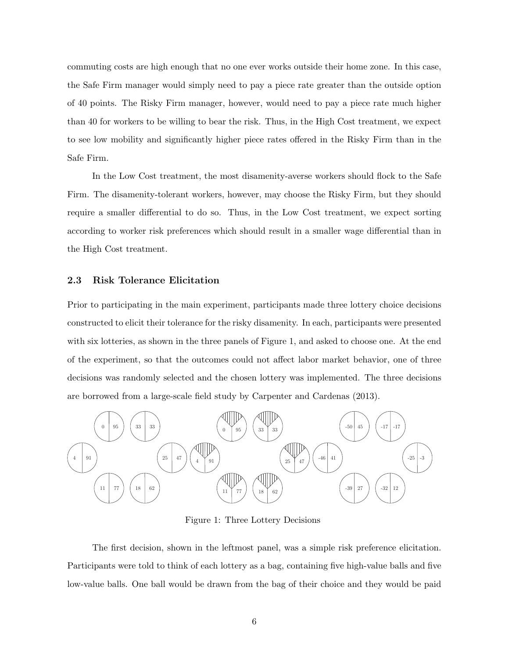commuting costs are high enough that no one ever works outside their home zone. In this case, the Safe Firm manager would simply need to pay a piece rate greater than the outside option of 40 points. The Risky Firm manager, however, would need to pay a piece rate much higher than 40 for workers to be willing to bear the risk. Thus, in the High Cost treatment, we expect to see low mobility and significantly higher piece rates offered in the Risky Firm than in the Safe Firm.

In the Low Cost treatment, the most disamenity-averse workers should flock to the Safe Firm. The disamenity-tolerant workers, however, may choose the Risky Firm, but they should require a smaller differential to do so. Thus, in the Low Cost treatment, we expect sorting according to worker risk preferences which should result in a smaller wage differential than in the High Cost treatment.

#### 2.3 Risk Tolerance Elicitation

Prior to participating in the main experiment, participants made three lottery choice decisions constructed to elicit their tolerance for the risky disamenity. In each, participants were presented with six lotteries, as shown in the three panels of Figure 1, and asked to choose one. At the end of the experiment, so that the outcomes could not affect labor market behavior, one of three decisions was randomly selected and the chosen lottery was implemented. The three decisions are borrowed from a large-scale field study by Carpenter and Cardenas (2013).



Figure 1: Three Lottery Decisions

The first decision, shown in the leftmost panel, was a simple risk preference elicitation. Participants were told to think of each lottery as a bag, containing five high-value balls and five low-value balls. One ball would be drawn from the bag of their choice and they would be paid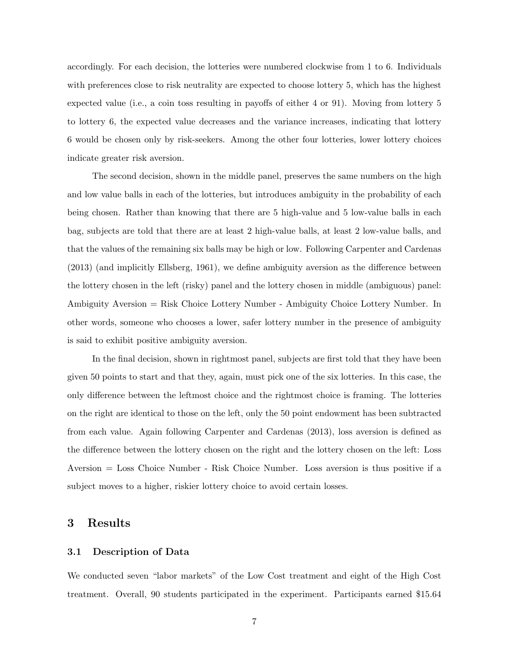accordingly. For each decision, the lotteries were numbered clockwise from 1 to 6. Individuals with preferences close to risk neutrality are expected to choose lottery 5, which has the highest expected value (i.e., a coin toss resulting in payoffs of either 4 or 91). Moving from lottery 5 to lottery 6, the expected value decreases and the variance increases, indicating that lottery 6 would be chosen only by risk-seekers. Among the other four lotteries, lower lottery choices indicate greater risk aversion.

The second decision, shown in the middle panel, preserves the same numbers on the high and low value balls in each of the lotteries, but introduces ambiguity in the probability of each being chosen. Rather than knowing that there are 5 high-value and 5 low-value balls in each bag, subjects are told that there are at least 2 high-value balls, at least 2 low-value balls, and that the values of the remaining six balls may be high or low. Following Carpenter and Cardenas (2013) (and implicitly Ellsberg, 1961), we define ambiguity aversion as the difference between the lottery chosen in the left (risky) panel and the lottery chosen in middle (ambiguous) panel: Ambiguity Aversion = Risk Choice Lottery Number - Ambiguity Choice Lottery Number. In other words, someone who chooses a lower, safer lottery number in the presence of ambiguity is said to exhibit positive ambiguity aversion.

In the final decision, shown in rightmost panel, subjects are first told that they have been given 50 points to start and that they, again, must pick one of the six lotteries. In this case, the only difference between the leftmost choice and the rightmost choice is framing. The lotteries on the right are identical to those on the left, only the 50 point endowment has been subtracted from each value. Again following Carpenter and Cardenas (2013), loss aversion is defined as the difference between the lottery chosen on the right and the lottery chosen on the left: Loss Aversion = Loss Choice Number - Risk Choice Number. Loss aversion is thus positive if a subject moves to a higher, riskier lottery choice to avoid certain losses.

#### 3 Results

#### 3.1 Description of Data

We conducted seven "labor markets" of the Low Cost treatment and eight of the High Cost treatment. Overall, 90 students participated in the experiment. Participants earned \$15.64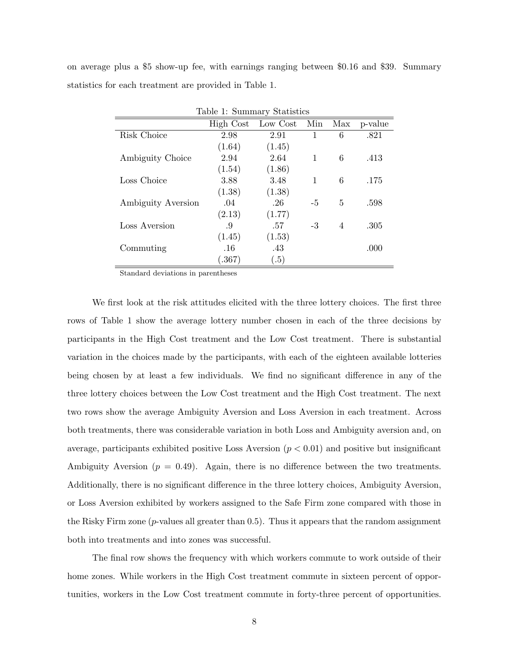on average plus a \$5 show-up fee, with earnings ranging between \$0.16 and \$39. Summary statistics for each treatment are provided in Table 1.

| rable resolutionally practicities |           |          |      |     |         |
|-----------------------------------|-----------|----------|------|-----|---------|
|                                   | High Cost | Low Cost | Min  | Max | p-value |
| Risk Choice                       | 2.98      | 2.91     |      | 6   | .821    |
|                                   | (1.64)    | (1.45)   |      |     |         |
| Ambiguity Choice                  | 2.94      | 2.64     | 1    | 6   | .413    |
|                                   | (1.54)    | (1.86)   |      |     |         |
| Loss Choice                       | 3.88      | 3.48     | 1    | 6   | .175    |
|                                   | (1.38)    | (1.38)   |      |     |         |
| Ambiguity Aversion                | .04       | .26      | -5   | 5   | .598    |
|                                   | (2.13)    | (1.77)   |      |     |         |
| Loss Aversion                     | .9        | .57      | $-3$ | 4   | .305    |
|                                   | (1.45)    | (1.53)   |      |     |         |
| Commuting                         | $.16\,$   | .43      |      |     | .000    |
|                                   | .367)     | (.5)     |      |     |         |

Table 1: Summary Statistics

Standard deviations in parentheses

We first look at the risk attitudes elicited with the three lottery choices. The first three rows of Table 1 show the average lottery number chosen in each of the three decisions by participants in the High Cost treatment and the Low Cost treatment. There is substantial variation in the choices made by the participants, with each of the eighteen available lotteries being chosen by at least a few individuals. We find no significant difference in any of the three lottery choices between the Low Cost treatment and the High Cost treatment. The next two rows show the average Ambiguity Aversion and Loss Aversion in each treatment. Across both treatments, there was considerable variation in both Loss and Ambiguity aversion and, on average, participants exhibited positive Loss Aversion  $(p < 0.01)$  and positive but insignificant Ambiguity Aversion ( $p = 0.49$ ). Again, there is no difference between the two treatments. Additionally, there is no significant difference in the three lottery choices, Ambiguity Aversion, or Loss Aversion exhibited by workers assigned to the Safe Firm zone compared with those in the Risky Firm zone  $(p$ -values all greater than  $(0.5)$ . Thus it appears that the random assignment both into treatments and into zones was successful.

The final row shows the frequency with which workers commute to work outside of their home zones. While workers in the High Cost treatment commute in sixteen percent of opportunities, workers in the Low Cost treatment commute in forty-three percent of opportunities.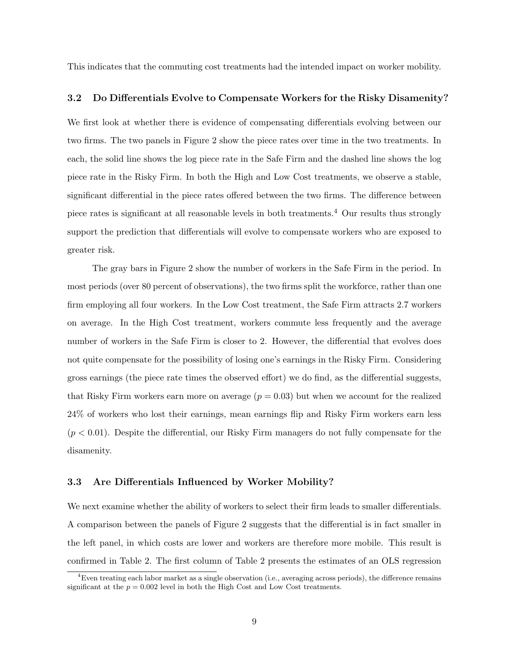This indicates that the commuting cost treatments had the intended impact on worker mobility.

#### 3.2 Do Differentials Evolve to Compensate Workers for the Risky Disamenity?

We first look at whether there is evidence of compensating differentials evolving between our two firms. The two panels in Figure 2 show the piece rates over time in the two treatments. In each, the solid line shows the log piece rate in the Safe Firm and the dashed line shows the log piece rate in the Risky Firm. In both the High and Low Cost treatments, we observe a stable, significant differential in the piece rates offered between the two firms. The difference between piece rates is significant at all reasonable levels in both treatments.<sup>4</sup> Our results thus strongly support the prediction that differentials will evolve to compensate workers who are exposed to greater risk.

The gray bars in Figure 2 show the number of workers in the Safe Firm in the period. In most periods (over 80 percent of observations), the two firms split the workforce, rather than one firm employing all four workers. In the Low Cost treatment, the Safe Firm attracts 2.7 workers on average. In the High Cost treatment, workers commute less frequently and the average number of workers in the Safe Firm is closer to 2. However, the differential that evolves does not quite compensate for the possibility of losing one's earnings in the Risky Firm. Considering gross earnings (the piece rate times the observed effort) we do find, as the differential suggests, that Risky Firm workers earn more on average  $(p = 0.03)$  but when we account for the realized 24% of workers who lost their earnings, mean earnings flip and Risky Firm workers earn less  $(p < 0.01)$ . Despite the differential, our Risky Firm managers do not fully compensate for the disamenity.

#### 3.3 Are Differentials Influenced by Worker Mobility?

We next examine whether the ability of workers to select their firm leads to smaller differentials. A comparison between the panels of Figure 2 suggests that the differential is in fact smaller in the left panel, in which costs are lower and workers are therefore more mobile. This result is confirmed in Table 2. The first column of Table 2 presents the estimates of an OLS regression

<sup>&</sup>lt;sup>4</sup>Even treating each labor market as a single observation (i.e., averaging across periods), the difference remains significant at the  $p = 0.002$  level in both the High Cost and Low Cost treatments.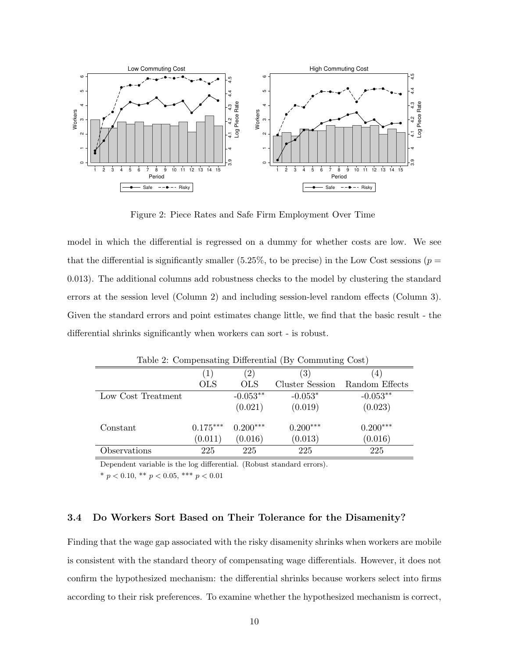

Figure 2: Piece Rates and Safe Firm Employment Over Time

model in which the differential is regressed on a dummy for whether costs are low. We see that the differential is significantly smaller  $(5.25\%$ , to be precise) in the Low Cost sessions ( $p =$ 0.013). The additional columns add robustness checks to the model by clustering the standard errors at the session level (Column 2) and including session-level random effects (Column 3). Given the standard errors and point estimates change little, we find that the basic result - the differential shrinks significantly when workers can sort - is robust.

| Table 2: Compensating Differential (By Commuting Cost) |            |            |                        |                |
|--------------------------------------------------------|------------|------------|------------------------|----------------|
|                                                        | (1)        | (2)        | (3)                    | 4)             |
|                                                        | <b>OLS</b> | <b>OLS</b> | <b>Cluster Session</b> | Random Effects |
| Low Cost Treatment                                     |            | $-0.053**$ | $-0.053*$              | $-0.053**$     |
|                                                        |            | (0.021)    | (0.019)                | (0.023)        |
| Constant                                               | $0.175***$ | $0.200***$ | $0.200***$             | $0.200***$     |
|                                                        | (0.011)    | (0.016)    | (0.013)                | (0.016)        |
| Observations                                           | 225        | 225        | 225                    | 225            |

Dependent variable is the log differential. (Robust standard errors).

\*  $p < 0.10$ , \*\*  $p < 0.05$ , \*\*\*  $p < 0.01$ 

#### 3.4 Do Workers Sort Based on Their Tolerance for the Disamenity?

Finding that the wage gap associated with the risky disamenity shrinks when workers are mobile is consistent with the standard theory of compensating wage differentials. However, it does not confirm the hypothesized mechanism: the differential shrinks because workers select into firms according to their risk preferences. To examine whether the hypothesized mechanism is correct,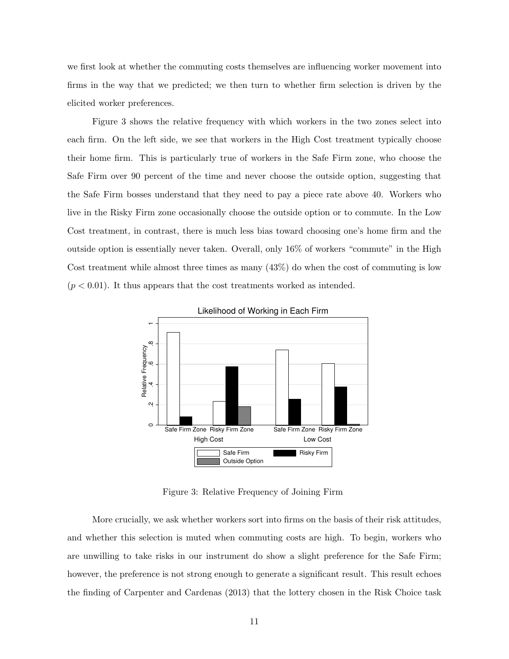we first look at whether the commuting costs themselves are influencing worker movement into firms in the way that we predicted; we then turn to whether firm selection is driven by the elicited worker preferences.

Figure 3 shows the relative frequency with which workers in the two zones select into each firm. On the left side, we see that workers in the High Cost treatment typically choose their home firm. This is particularly true of workers in the Safe Firm zone, who choose the Safe Firm over 90 percent of the time and never choose the outside option, suggesting that the Safe Firm bosses understand that they need to pay a piece rate above 40. Workers who live in the Risky Firm zone occasionally choose the outside option or to commute. In the Low Cost treatment, in contrast, there is much less bias toward choosing one's home firm and the outside option is essentially never taken. Overall, only 16% of workers "commute" in the High Cost treatment while almost three times as many  $(43%)$  do when the cost of commuting is low  $(p < 0.01)$ . It thus appears that the cost treatments worked as intended.



Likelihood of Working in Each Firm

Figure 3: Relative Frequency of Joining Firm

More crucially, we ask whether workers sort into firms on the basis of their risk attitudes, and whether this selection is muted when commuting costs are high. To begin, workers who are unwilling to take risks in our instrument do show a slight preference for the Safe Firm; however, the preference is not strong enough to generate a significant result. This result echoes the finding of Carpenter and Cardenas (2013) that the lottery chosen in the Risk Choice task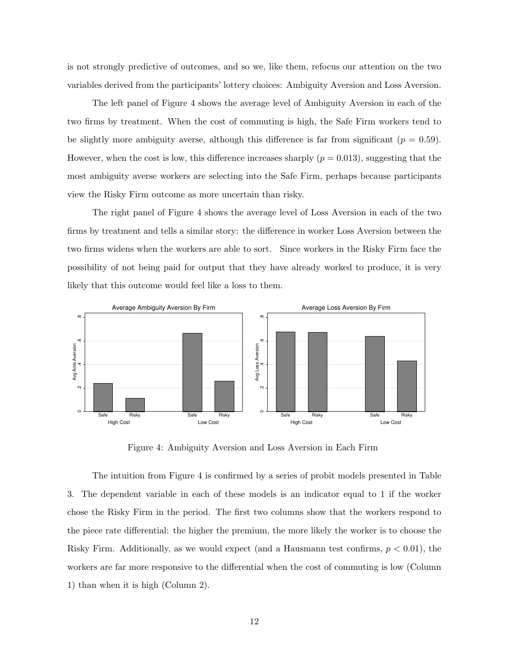is not strongly predictive of outcomes, and so we, like them, refocus our attention on the two variables derived from the participants' lottery choices: Ambiguity Aversion and Loss Aversion.

The left panel of Figure 4 shows the average level of Ambiguity Aversion in each of the two firms by treatment. When the cost of commuting is high, the Safe Firm workers tend to be slightly more ambiguity averse, although this difference is far from significant ( $p = 0.59$ ). However, when the cost is low, this difference increases sharply  $(p = 0.013)$ , suggesting that the most ambiguity averse workers are selecting into the Safe Firm, perhaps because participants view the Risky Firm outcome as more uncertain than risky.

The right panel of Figure 4 shows the average level of Loss Aversion in each of the two firms by treatment and tells a similar story: the difference in worker Loss Aversion between the two firms widens when the workers are able to sort. Since workers in the Risky Firm face the possibility of not being paid for output that they have already worked to produce, it is very likely that this outcome would feel like a loss to them.



Figure 4: Ambiguity Aversion and Loss Aversion in Each Firm

The intuition from Figure 4 is confirmed by a series of probit models presented in Table 3. The dependent variable in each of these models is an indicator equal to 1 if the worker chose the Risky Firm in the period. The first two columns show that the workers respond to the piece rate differential: the higher the premium, the more likely the worker is to choose the Risky Firm. Additionally, as we would expect (and a Hausmann test confirms,  $p < 0.01$ ), the workers are far more responsive to the differential when the cost of commuting is low (Column 1) than when it is high (Column 2).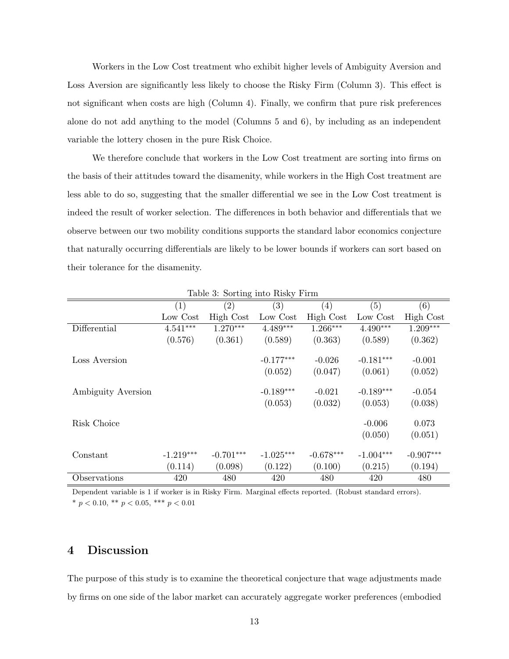Workers in the Low Cost treatment who exhibit higher levels of Ambiguity Aversion and Loss Aversion are significantly less likely to choose the Risky Firm (Column 3). This effect is not significant when costs are high (Column 4). Finally, we confirm that pure risk preferences alone do not add anything to the model (Columns 5 and 6), by including as an independent variable the lottery chosen in the pure Risk Choice.

We therefore conclude that workers in the Low Cost treatment are sorting into firms on the basis of their attitudes toward the disamenity, while workers in the High Cost treatment are less able to do so, suggesting that the smaller differential we see in the Low Cost treatment is indeed the result of worker selection. The differences in both behavior and differentials that we observe between our two mobility conditions supports the standard labor economics conjecture that naturally occurring differentials are likely to be lower bounds if workers can sort based on their tolerance for the disamenity.

|                    | (1)         | (2)         | (3)         | (4)         | (5)         | (6)         |
|--------------------|-------------|-------------|-------------|-------------|-------------|-------------|
|                    | Low Cost    | High Cost   | Low Cost    | High Cost   | Low Cost    | High Cost   |
| Differential       | $4.541***$  | $1.270***$  | $4.489***$  | $1.266***$  | $4.490***$  | $1.209***$  |
|                    | (0.576)     | (0.361)     | (0.589)     | (0.363)     | (0.589)     | (0.362)     |
| Loss Aversion      |             |             | $-0.177***$ | $-0.026$    | $-0.181***$ | $-0.001$    |
|                    |             |             | (0.052)     | (0.047)     | (0.061)     | (0.052)     |
| Ambiguity Aversion |             |             | $-0.189***$ | $-0.021$    | $-0.189***$ | $-0.054$    |
|                    |             |             | (0.053)     | (0.032)     | (0.053)     | (0.038)     |
| Risk Choice        |             |             |             |             | $-0.006$    | 0.073       |
|                    |             |             |             |             | (0.050)     | (0.051)     |
|                    |             | $-0.701***$ | $-1.025***$ |             |             | $-0.907***$ |
| Constant           | $-1.219***$ |             |             | $-0.678***$ | $-1.004***$ |             |
|                    | (0.114)     | (0.098)     | (0.122)     | (0.100)     | (0.215)     | (0.194)     |
| Observations       | 420         | 480         | 420         | 480         | 420         | 480         |

Table 3: Sorting into Risky Firm

Dependent variable is 1 if worker is in Risky Firm. Marginal effects reported. (Robust standard errors). \*  $p < 0.10$ , \*\*  $p < 0.05$ , \*\*\*  $p < 0.01$ 

### 4 Discussion

The purpose of this study is to examine the theoretical conjecture that wage adjustments made by firms on one side of the labor market can accurately aggregate worker preferences (embodied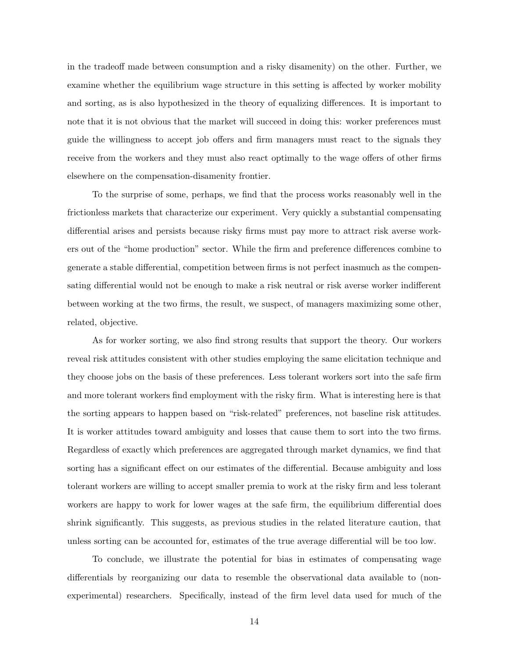in the tradeoff made between consumption and a risky disamenity) on the other. Further, we examine whether the equilibrium wage structure in this setting is affected by worker mobility and sorting, as is also hypothesized in the theory of equalizing differences. It is important to note that it is not obvious that the market will succeed in doing this: worker preferences must guide the willingness to accept job offers and firm managers must react to the signals they receive from the workers and they must also react optimally to the wage offers of other firms elsewhere on the compensation-disamenity frontier.

To the surprise of some, perhaps, we find that the process works reasonably well in the frictionless markets that characterize our experiment. Very quickly a substantial compensating differential arises and persists because risky firms must pay more to attract risk averse workers out of the "home production" sector. While the firm and preference differences combine to generate a stable differential, competition between firms is not perfect inasmuch as the compensating differential would not be enough to make a risk neutral or risk averse worker indifferent between working at the two firms, the result, we suspect, of managers maximizing some other, related, objective.

As for worker sorting, we also find strong results that support the theory. Our workers reveal risk attitudes consistent with other studies employing the same elicitation technique and they choose jobs on the basis of these preferences. Less tolerant workers sort into the safe firm and more tolerant workers find employment with the risky firm. What is interesting here is that the sorting appears to happen based on "risk-related" preferences, not baseline risk attitudes. It is worker attitudes toward ambiguity and losses that cause them to sort into the two firms. Regardless of exactly which preferences are aggregated through market dynamics, we find that sorting has a significant effect on our estimates of the differential. Because ambiguity and loss tolerant workers are willing to accept smaller premia to work at the risky firm and less tolerant workers are happy to work for lower wages at the safe firm, the equilibrium differential does shrink significantly. This suggests, as previous studies in the related literature caution, that unless sorting can be accounted for, estimates of the true average differential will be too low.

To conclude, we illustrate the potential for bias in estimates of compensating wage differentials by reorganizing our data to resemble the observational data available to (nonexperimental) researchers. Specifically, instead of the firm level data used for much of the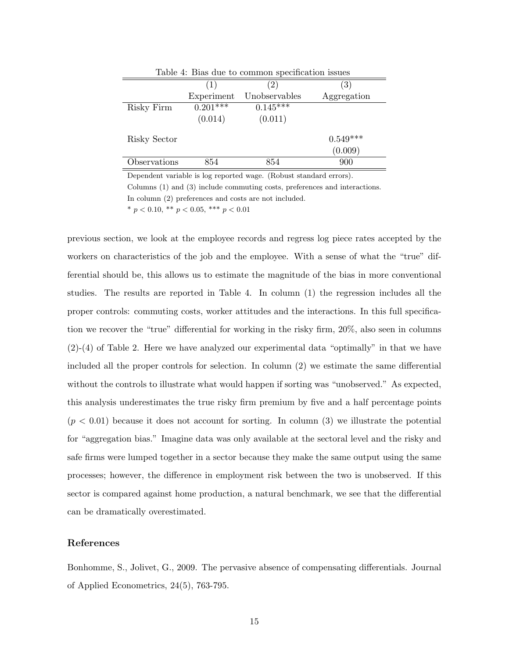| Table 4: Bias due to common specification issues |            |                   |             |  |
|--------------------------------------------------|------------|-------------------|-------------|--|
|                                                  | (1)        | $\left( 2\right)$ | (3)         |  |
|                                                  | Experiment | Unobservables     | Aggregation |  |
| Risky Firm                                       | $0.201***$ | $0.145***$        |             |  |
|                                                  | (0.014)    | (0.011)           |             |  |
| Risky Sector                                     |            |                   | $0.549***$  |  |
|                                                  |            |                   | (0.009)     |  |
| Observations                                     | 854        | 854               | 900         |  |

Table 4: Bias due to common specification issues

Dependent variable is log reported wage. (Robust standard errors). Columns (1) and (3) include commuting costs, preferences and interactions.

In column (2) preferences and costs are not included.

\*  $p < 0.10$ , \*\*  $p < 0.05$ , \*\*\*  $p < 0.01$ 

previous section, we look at the employee records and regress log piece rates accepted by the workers on characteristics of the job and the employee. With a sense of what the "true" differential should be, this allows us to estimate the magnitude of the bias in more conventional studies. The results are reported in Table 4. In column (1) the regression includes all the proper controls: commuting costs, worker attitudes and the interactions. In this full specification we recover the "true" differential for working in the risky firm, 20%, also seen in columns (2)-(4) of Table 2. Here we have analyzed our experimental data "optimally" in that we have included all the proper controls for selection. In column (2) we estimate the same differential without the controls to illustrate what would happen if sorting was "unobserved." As expected, this analysis underestimates the true risky firm premium by five and a half percentage points  $(p < 0.01)$  because it does not account for sorting. In column (3) we illustrate the potential for "aggregation bias." Imagine data was only available at the sectoral level and the risky and safe firms were lumped together in a sector because they make the same output using the same processes; however, the difference in employment risk between the two is unobserved. If this sector is compared against home production, a natural benchmark, we see that the differential can be dramatically overestimated.

#### References

Bonhomme, S., Jolivet, G., 2009. The pervasive absence of compensating differentials. Journal of Applied Econometrics, 24(5), 763-795.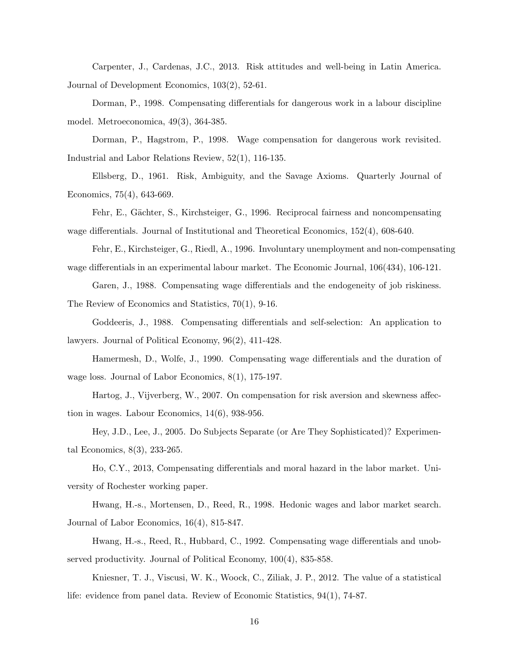Carpenter, J., Cardenas, J.C., 2013. Risk attitudes and well-being in Latin America. Journal of Development Economics, 103(2), 52-61.

Dorman, P., 1998. Compensating differentials for dangerous work in a labour discipline model. Metroeconomica, 49(3), 364-385.

Dorman, P., Hagstrom, P., 1998. Wage compensation for dangerous work revisited. Industrial and Labor Relations Review, 52(1), 116-135.

Ellsberg, D., 1961. Risk, Ambiguity, and the Savage Axioms. Quarterly Journal of Economics, 75(4), 643-669.

Fehr, E., Gächter, S., Kirchsteiger, G., 1996. Reciprocal fairness and noncompensating wage differentials. Journal of Institutional and Theoretical Economics, 152(4), 608-640.

Fehr, E., Kirchsteiger, G., Riedl, A., 1996. Involuntary unemployment and non-compensating wage differentials in an experimental labour market. The Economic Journal, 106(434), 106-121.

Garen, J., 1988. Compensating wage differentials and the endogeneity of job riskiness. The Review of Economics and Statistics, 70(1), 9-16.

Goddeeris, J., 1988. Compensating differentials and self-selection: An application to lawyers. Journal of Political Economy, 96(2), 411-428.

Hamermesh, D., Wolfe, J., 1990. Compensating wage differentials and the duration of wage loss. Journal of Labor Economics, 8(1), 175-197.

Hartog, J., Vijverberg, W., 2007. On compensation for risk aversion and skewness affection in wages. Labour Economics, 14(6), 938-956.

Hey, J.D., Lee, J., 2005. Do Subjects Separate (or Are They Sophisticated)? Experimental Economics, 8(3), 233-265.

Ho, C.Y., 2013, Compensating differentials and moral hazard in the labor market. University of Rochester working paper.

Hwang, H.-s., Mortensen, D., Reed, R., 1998. Hedonic wages and labor market search. Journal of Labor Economics, 16(4), 815-847.

Hwang, H.-s., Reed, R., Hubbard, C., 1992. Compensating wage differentials and unobserved productivity. Journal of Political Economy, 100(4), 835-858.

Kniesner, T. J., Viscusi, W. K., Woock, C., Ziliak, J. P., 2012. The value of a statistical life: evidence from panel data. Review of Economic Statistics, 94(1), 74-87.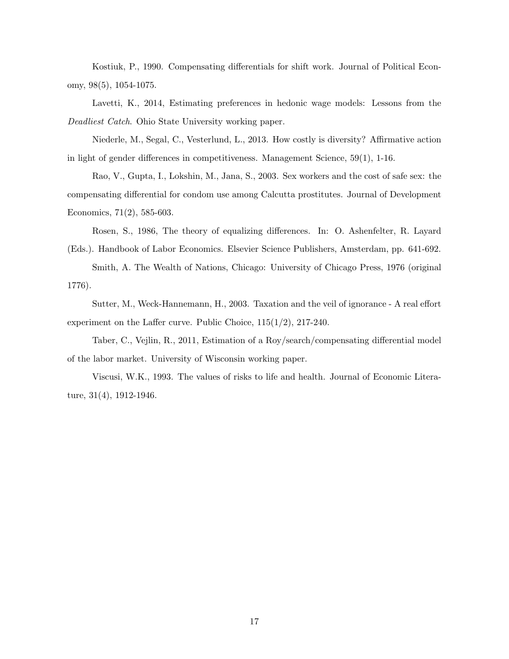Kostiuk, P., 1990. Compensating differentials for shift work. Journal of Political Economy, 98(5), 1054-1075.

Lavetti, K., 2014, Estimating preferences in hedonic wage models: Lessons from the Deadliest Catch. Ohio State University working paper.

Niederle, M., Segal, C., Vesterlund, L., 2013. How costly is diversity? Affirmative action in light of gender differences in competitiveness. Management Science, 59(1), 1-16.

Rao, V., Gupta, I., Lokshin, M., Jana, S., 2003. Sex workers and the cost of safe sex: the compensating differential for condom use among Calcutta prostitutes. Journal of Development Economics, 71(2), 585-603.

Rosen, S., 1986, The theory of equalizing differences. In: O. Ashenfelter, R. Layard (Eds.). Handbook of Labor Economics. Elsevier Science Publishers, Amsterdam, pp. 641-692.

Smith, A. The Wealth of Nations, Chicago: University of Chicago Press, 1976 (original 1776).

Sutter, M., Weck-Hannemann, H., 2003. Taxation and the veil of ignorance - A real effort experiment on the Laffer curve. Public Choice, 115(1/2), 217-240.

Taber, C., Vejlin, R., 2011, Estimation of a Roy/search/compensating differential model of the labor market. University of Wisconsin working paper.

Viscusi, W.K., 1993. The values of risks to life and health. Journal of Economic Literature, 31(4), 1912-1946.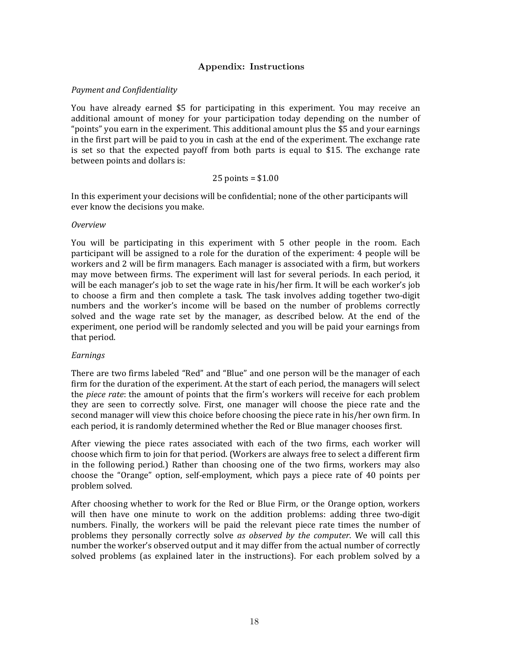# Appendix: Instructions

#### *Payment and Confidentiality*

You have already earned \$5 for participating in this experiment. You may receive an additional amount of money for your participation today depending on the number of "points" you earn in the experiment. This additional amount plus the \$5 and your earnings in the first part will be paid to you in cash at the end of the experiment. The exchange rate is set so that the expected payoff from both parts is equal to \$15. The exchange rate between points and dollars is:

#### $25$  points = \$1.00

In this experiment your decisions will be confidential; none of the other participants will ever know the decisions you make.

#### *Overview*

You will be participating in this experiment with 5 other people in the room. Each participant will be assigned to a role for the duration of the experiment: 4 people will be workers and 2 will be firm managers. Each manager is associated with a firm, but workers may move between firms. The experiment will last for several periods. In each period, it will be each manager's job to set the wage rate in his/her firm. It will be each worker's job to choose a firm and then complete a task. The task involves adding together two-digit numbers and the worker's income will be based on the number of problems correctly solved and the wage rate set by the manager, as described below. At the end of the experiment, one period will be randomly selected and you will be paid your earnings from that period.

#### *Earnings*

There are two firms labeled "Red" and "Blue" and one person will be the manager of each firm for the duration of the experiment. At the start of each period, the managers will select the *piece rate*: the amount of points that the firm's workers will receive for each problem they are seen to correctly solve. First, one manager will choose the piece rate and the second manager will view this choice before choosing the piece rate in his/her own firm. In each period, it is randomly determined whether the Red or Blue manager chooses first.

After viewing the piece rates associated with each of the two firms, each worker will choose which firm to join for that period. (Workers are always free to select a different firm in the following period.) Rather than choosing one of the two firms, workers may also choose the "Orange" option, self-employment, which pays a piece rate of 40 points per problem solved.

After choosing whether to work for the Red or Blue Firm, or the Orange option, workers will then have one minute to work on the addition problems: adding three two-digit numbers. Finally, the workers will be paid the relevant piece rate times the number of problems they personally correctly solve *as observed by the computer*. We will call this number the worker's observed output and it may differ from the actual number of correctly solved problems (as explained later in the instructions). For each problem solved by a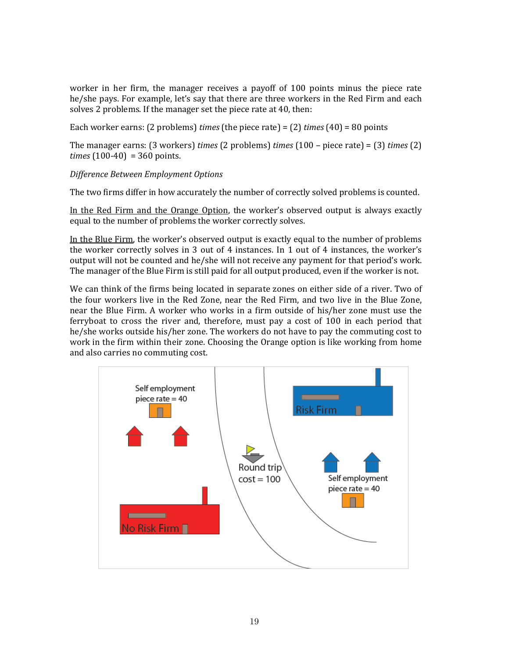worker in her firm, the manager receives a payoff of 100 points minus the piece rate he/she pays. For example, let's say that there are three workers in the Red Firm and each solves 2 problems. If the manager set the piece rate at 40, then:

Each worker earns: (2 problems) *times* (the piece rate) = (2) *times* (40) = 80 points

The manager earns: (3 workers) *times* (2 problems) *times* (100 – piece rate) = (3) *times* (2)  $times(100-40) = 360$  points.

#### *Difference(Between(Employment(Options*

The two firms differ in how accurately the number of correctly solved problems is counted.

In the Red Firm and the Orange Option, the worker's observed output is always exactly equal to the number of problems the worker correctly solves.

In the Blue Firm, the worker's observed output is exactly equal to the number of problems the worker correctly solves in 3 out of 4 instances. In 1 out of 4 instances, the worker's output will not be counted and he/she will not receive any payment for that period's work. The manager of the Blue Firm is still paid for all output produced, even if the worker is not.

We can think of the firms being located in separate zones on either side of a river. Two of the four workers live in the Red Zone, near the Red Firm, and two live in the Blue Zone, near the Blue Firm. A worker who works in a firm outside of his/her zone must use the ferryboat to cross the river and, therefore, must pay a cost of  $100$  in each period that he/she works outside his/her zone. The workers do not have to pay the commuting cost to work in the firm within their zone. Choosing the Orange option is like working from home and also carries no commuting cost.